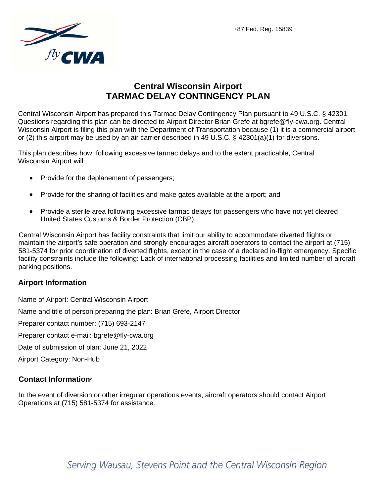

# **Central Wisconsin Airport TARMAC DELAY CONTINGENCY PLAN**

Central Wisconsin Airport has prepared this Tarmac Delay Contingency Plan pursuant to 49 U.S.C. § 42301. Questions regarding this plan can be directed to Airport Director Brian Grefe at bgrefe@fly-cwa.org. Central Wisconsin Airport is filing this plan with the Department of Transportation because (1) it is a commercial airport or (2) this airport may be used by an air carrier described in 49 U.S.C. § 42301(a)(1) for diversions.

This plan describes how, following excessive tarmac delays and to the extent practicable, Central Wisconsin Airport will:

- Provide for the deplanement of passengers;
- Provide for the sharing of facilities and make gates available at the airport; and
- Provide a sterile area following excessive tarmac delays for passengers who have not yet cleared United States Customs & Border Protection (CBP).

Central Wisconsin Airport has facility constraints that limit our ability to accommodate diverted flights or maintain the airport's safe operation and strongly encourages aircraft operators to contact the airport at (715) 581-5374 for prior coordination of diverted flights, except in the case of a declared in-flight emergency. Specific facility constraints include the following: Lack of international processing facilities and limited number of aircraft parking positions.

### **Airport Information**

Name of Airport: Central Wisconsin Airport Name and title of person preparing the plan: Brian Grefe, Airport Director Preparer contact number: (715) 693-2147 Preparer contact e-mail: bgrefe@fly-cwa.org Date of submission of plan: June 21, 2022 Airport Category: Non-Hub

### **Contact Information2**

In the event of diversion or other irregular operations events, aircraft operators should contact Airport Operations at (715) 581-5374 for assistance.